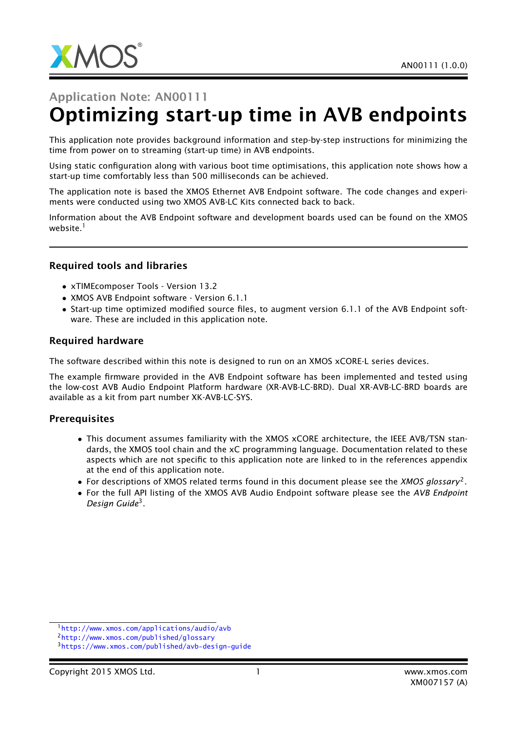

# Application Note: AN00111 Optimizing start-up time in AVB endpoints

This application note provides background information and step-by-step instructions for minimizing the time from power on to streaming (start-up time) in AVB endpoints.

Using static configuration along with various boot time optimisations, this application note shows how a start-up time comfortably less than 500 milliseconds can be achieved.

The application note is based the XMOS Ethernet AVB Endpoint software. The code changes and experiments were conducted using two XMOS AVB-LC Kits connected back to back.

Information about the AVB Endpoint software and development boards used can be found on the XMOS website.<sup>1</sup>

#### Required tools and libraries

- xTIMEcomposer Tools Version 13.2
- XMOS AVB Endpoint software Version 6.1.1
- Start-up time optimized modified source files, to augment version 6.1.1 of the AVB Endpoint software. These are included in this application note.

#### Required hardware

The software described within this note is designed to run on an XMOS xCORE-L series devices.

The example firmware provided in the AVB Endpoint software has been implemented and tested using the low-cost AVB Audio Endpoint Platform hardware (XR-AVB-LC-BRD). Dual XR-AVB-LC-BRD boards are available as a kit from part number XK-AVB-LC-SYS.

#### **Prerequisites**

- This document assumes familiarity with the XMOS xCORE architecture, the IEEE AVB/TSN standards, the XMOS tool chain and the xC programming language. Documentation related to these aspects which are not specific to this application note are linked to in the references appendix at the end of this application note.
- For descriptions of XMOS related terms found in this document please see the *XMOS glossary*<sup>2</sup> .
- For the full API listing of the XMOS AVB Audio Endpoint software please see the *AVB Endpoint Design Guide*<sup>3</sup> .

<sup>1</sup><http://www.xmos.com/applications/audio/avb>

<sup>2</sup><http://www.xmos.com/published/glossary>

<sup>3</sup><https://www.xmos.com/published/avb-design-guide>